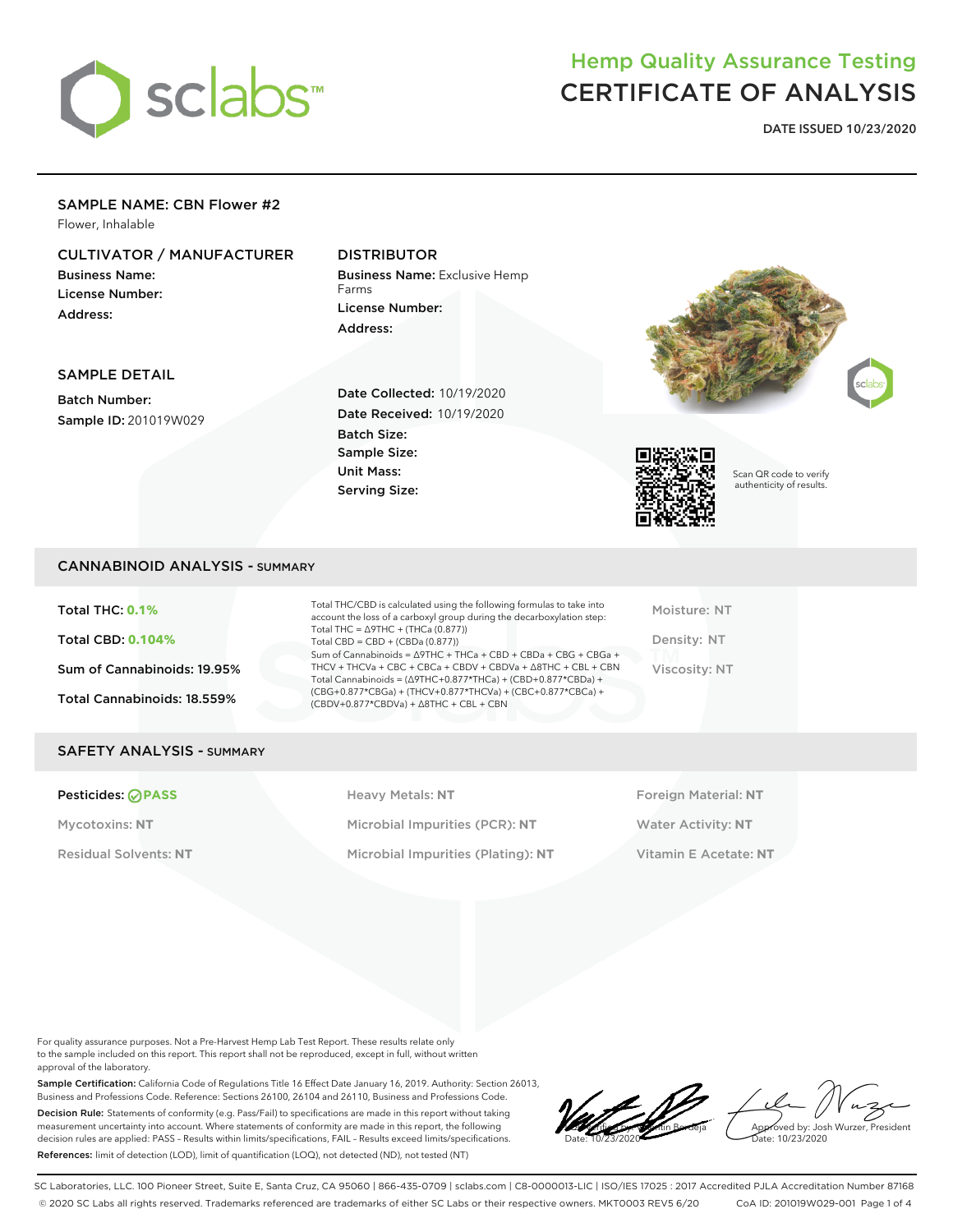

**DATE ISSUED 10/23/2020**

### SAMPLE NAME: CBN Flower #2

Flower, Inhalable

### CULTIVATOR / MANUFACTURER

Business Name: License Number: Address:

SAMPLE DETAIL Batch Number:

Sample ID: 201019W029

### DISTRIBUTOR

Batch Size: Sample Size: Unit Mass: Serving Size:

Business Name: Exclusive Hemp Farms License Number: Address:

Date Collected: 10/19/2020 Date Received: 10/19/2020





Scan QR code to verify authenticity of results.

#### CANNABINOID ANALYSIS - SUMMARY

Total THC: **0.1%** Total CBD: **0.104%** Sum of Cannabinoids: 19.95% Total Cannabinoids: 18.559%

Total THC/CBD is calculated using the following formulas to take into account the loss of a carboxyl group during the decarboxylation step: Total THC = ∆9THC + (THCa (0.877)) Total  $CBD = CBD + (CBDa (0.877))$ Sum of Cannabinoids = ∆9THC + THCa + CBD + CBDa + CBG + CBGa + THCV + THCVa + CBC + CBCa + CBDV + CBDVa + ∆8THC + CBL + CBN Total Cannabinoids = (∆9THC+0.877\*THCa) + (CBD+0.877\*CBDa) + (CBG+0.877\*CBGa) + (THCV+0.877\*THCVa) + (CBC+0.877\*CBCa) + (CBDV+0.877\*CBDVa) + ∆8THC + CBL + CBN

Moisture: NT Density: NT Viscosity: NT

#### SAFETY ANALYSIS - SUMMARY

**Pesticides: PASS Heavy Metals: NT Heavy Metals: NT Foreign Material: NT** Mycotoxins: **NT** Microbial Impurities (PCR): **NT** Water Activity: **NT** Residual Solvents: **NT** Microbial Impurities (Plating): **NT** Vitamin E Acetate: **NT**

For quality assurance purposes. Not a Pre-Harvest Hemp Lab Test Report. These results relate only to the sample included on this report. This report shall not be reproduced, except in full, without written approval of the laboratory.

Sample Certification: California Code of Regulations Title 16 Effect Date January 16, 2019. Authority: Section 26013, Business and Professions Code. Reference: Sections 26100, 26104 and 26110, Business and Professions Code. Decision Rule: Statements of conformity (e.g. Pass/Fail) to specifications are made in this report without taking measurement uncertainty into account. Where statements of conformity are made in this report, the following decision rules are applied: PASS – Results within limits/specifications, FAIL – Results exceed limits/specifications. References: limit of detection (LOD), limit of quantification (LOQ), not detected (ND), not tested (NT)

LQC verified by: Valentin Berdeja Date: 10/23/2020

Approved by: Josh Wurzer, President ate: 10/23/2020

SC Laboratories, LLC. 100 Pioneer Street, Suite E, Santa Cruz, CA 95060 | 866-435-0709 | sclabs.com | C8-0000013-LIC | ISO/IES 17025 : 2017 Accredited PJLA Accreditation Number 87168 © 2020 SC Labs all rights reserved. Trademarks referenced are trademarks of either SC Labs or their respective owners. MKT0003 REV5 6/20 CoA ID: 201019W029-001 Page 1 of 4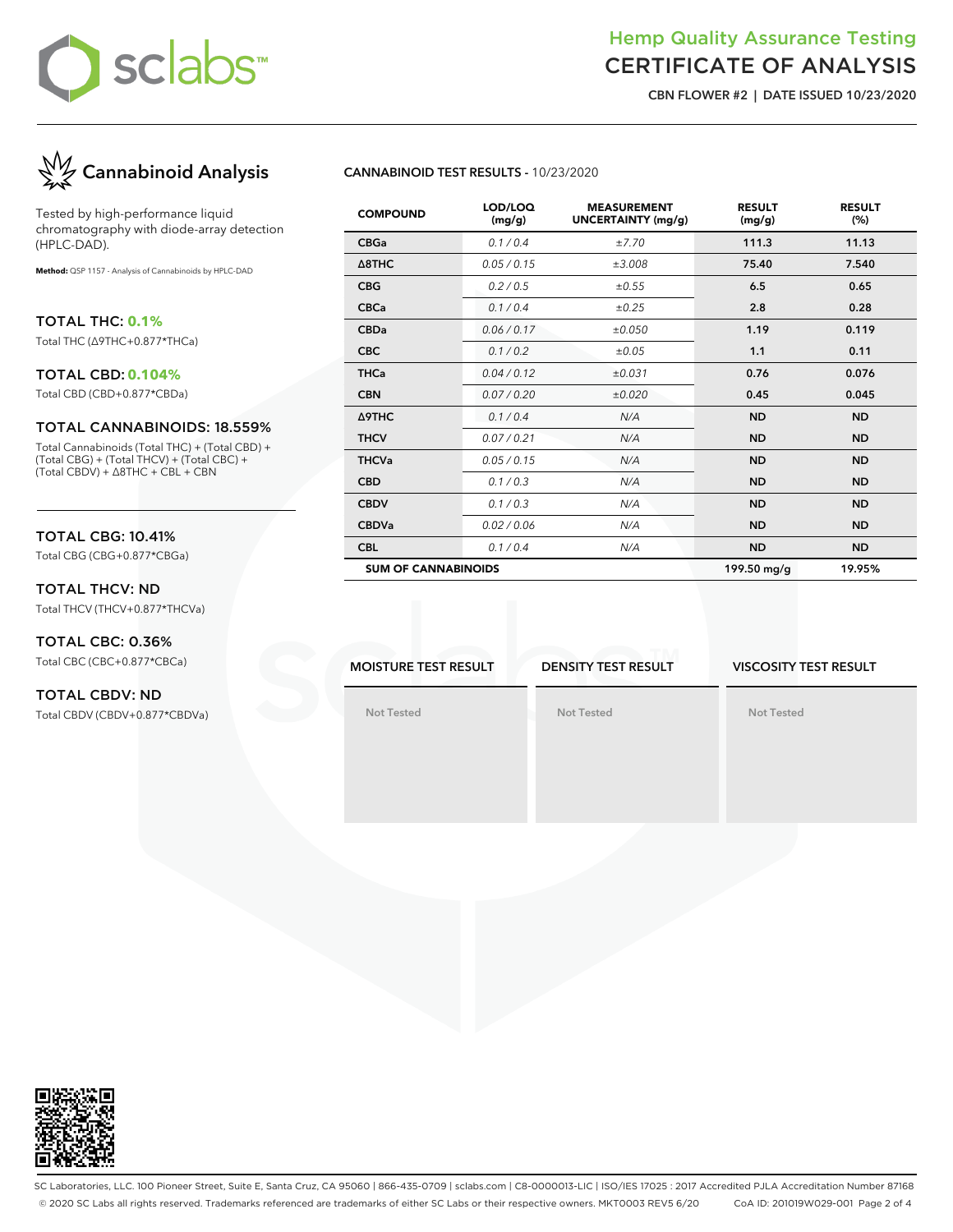

**CBN FLOWER #2 | DATE ISSUED 10/23/2020**



Tested by high-performance liquid chromatography with diode-array detection (HPLC-DAD).

**Method:** QSP 1157 - Analysis of Cannabinoids by HPLC-DAD

TOTAL THC: **0.1%** Total THC (∆9THC+0.877\*THCa)

#### TOTAL CBD: **0.104%**

Total CBD (CBD+0.877\*CBDa)

#### TOTAL CANNABINOIDS: 18.559%

Total Cannabinoids (Total THC) + (Total CBD) + (Total CBG) + (Total THCV) + (Total CBC) + (Total CBDV) + ∆8THC + CBL + CBN

#### TOTAL CBG: 10.41%

Total CBG (CBG+0.877\*CBGa)

#### TOTAL THCV: ND Total THCV (THCV+0.877\*THCVa)

TOTAL CBC: 0.36%

Total CBC (CBC+0.877\*CBCa)

#### TOTAL CBDV: ND Total CBDV (CBDV+0.877\*CBDVa)

#### **CANNABINOID TEST RESULTS -** 10/23/2020

| <b>COMPOUND</b>            | LOD/LOQ<br>(mg/g) | <b>MEASUREMENT</b><br><b>UNCERTAINTY (mg/g)</b> | <b>RESULT</b><br>(mg/g) | <b>RESULT</b><br>(%) |
|----------------------------|-------------------|-------------------------------------------------|-------------------------|----------------------|
| <b>CBGa</b>                | 0.1 / 0.4         | ±7.70                                           | 111.3                   | 11.13                |
| $\triangle$ 8THC           | 0.05 / 0.15       | ±3.008                                          | 75.40                   | 7.540                |
| <b>CBG</b>                 | 0.2 / 0.5         | ±0.55                                           | 6.5                     | 0.65                 |
| <b>CBCa</b>                | 0.1 / 0.4         | ±0.25                                           | 2.8                     | 0.28                 |
| <b>CBDa</b>                | 0.06 / 0.17       | ±0.050                                          | 1.19                    | 0.119                |
| <b>CBC</b>                 | 0.1 / 0.2         | $\pm 0.05$                                      | 1.1                     | 0.11                 |
| <b>THCa</b>                | 0.04/0.12         | ±0.031                                          | 0.76                    | 0.076                |
| <b>CBN</b>                 | 0.07 / 0.20       | ±0.020                                          | 0.45                    | 0.045                |
| Δ9THC                      | 0.1 / 0.4         | N/A                                             | <b>ND</b>               | <b>ND</b>            |
| <b>THCV</b>                | 0.07 / 0.21       | N/A                                             | <b>ND</b>               | <b>ND</b>            |
| <b>THCVa</b>               | 0.05 / 0.15       | N/A                                             | <b>ND</b>               | <b>ND</b>            |
| <b>CBD</b>                 | 0.1 / 0.3         | N/A                                             | <b>ND</b>               | <b>ND</b>            |
| <b>CBDV</b>                | 0.1 / 0.3         | N/A                                             | <b>ND</b>               | <b>ND</b>            |
| <b>CBDVa</b>               | 0.02 / 0.06       | N/A                                             | <b>ND</b>               | <b>ND</b>            |
| <b>CBL</b>                 | 0.1 / 0.4         | N/A                                             | <b>ND</b>               | <b>ND</b>            |
| <b>SUM OF CANNABINOIDS</b> |                   |                                                 | 199.50 mg/g             | 19.95%               |

**MOISTURE TEST RESULT**

**DENSITY TEST RESULT**

**Not Tested**

#### **VISCOSITY TEST RESULT**

**Not Tested**

**Not Tested**



SC Laboratories, LLC. 100 Pioneer Street, Suite E, Santa Cruz, CA 95060 | 866-435-0709 | sclabs.com | C8-0000013-LIC | ISO/IES 17025 : 2017 Accredited PJLA Accreditation Number 87168 © 2020 SC Labs all rights reserved. Trademarks referenced are trademarks of either SC Labs or their respective owners. MKT0003 REV5 6/20 CoA ID: 201019W029-001 Page 2 of 4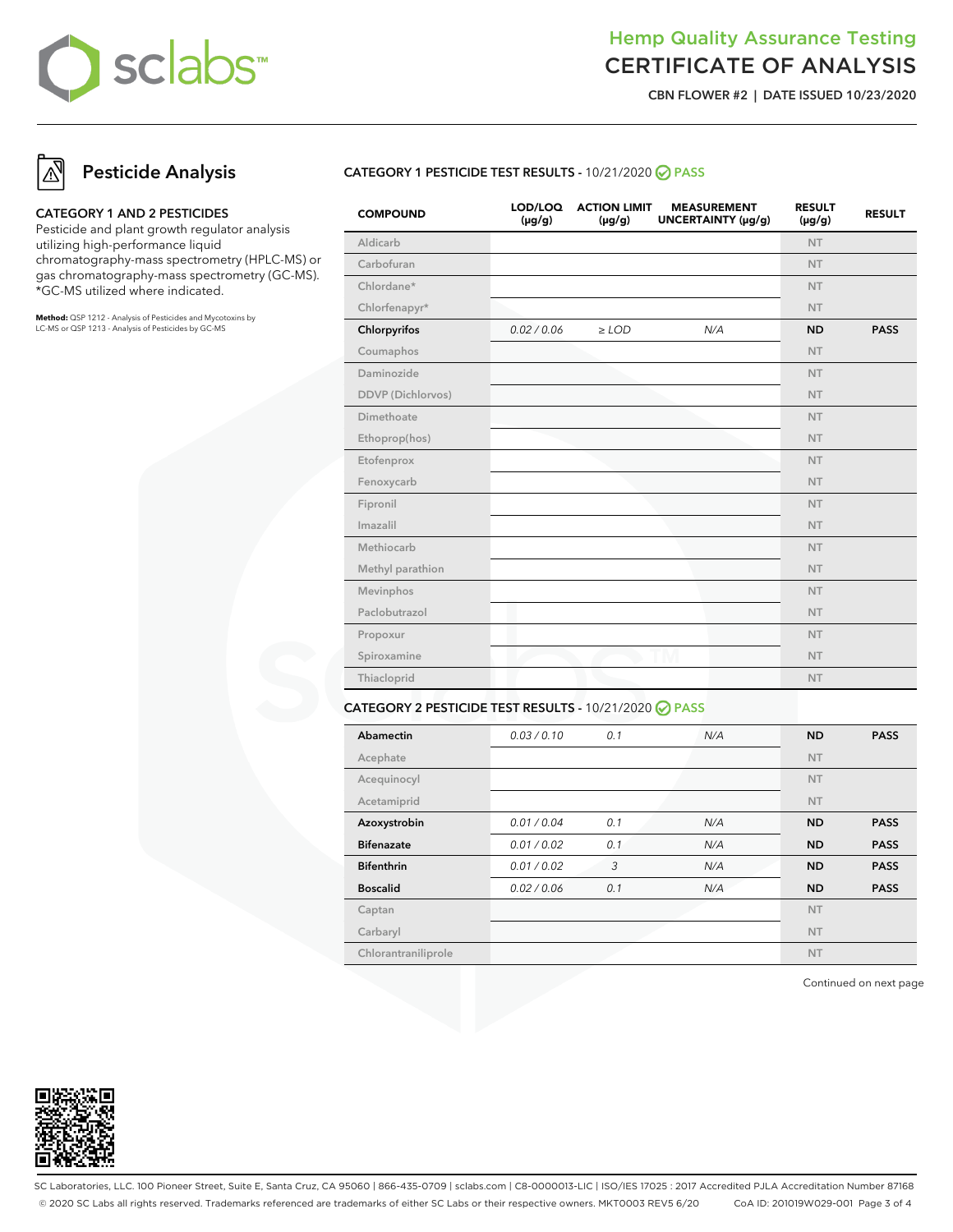

**CBN FLOWER #2 | DATE ISSUED 10/23/2020**

# **Pesticide Analysis**

#### **CATEGORY 1 AND 2 PESTICIDES**

Pesticide and plant growth regulator analysis utilizing high-performance liquid chromatography-mass spectrometry (HPLC-MS) or gas chromatography-mass spectrometry (GC-MS). \*GC-MS utilized where indicated.

**Method:** QSP 1212 - Analysis of Pesticides and Mycotoxins by LC-MS or QSP 1213 - Analysis of Pesticides by GC-MS

### **CATEGORY 1 PESTICIDE TEST RESULTS -** 10/21/2020 **PASS**

| <b>COMPOUND</b>   | LOD/LOQ<br>$(\mu g/g)$ | <b>ACTION LIMIT</b><br>$(\mu g/g)$ | <b>MEASUREMENT</b><br>UNCERTAINTY (µg/g) | <b>RESULT</b><br>$(\mu g/g)$ | <b>RESULT</b> |
|-------------------|------------------------|------------------------------------|------------------------------------------|------------------------------|---------------|
| Aldicarb          |                        |                                    |                                          | <b>NT</b>                    |               |
| Carbofuran        |                        |                                    |                                          | <b>NT</b>                    |               |
| Chlordane*        |                        |                                    |                                          | <b>NT</b>                    |               |
| Chlorfenapyr*     |                        |                                    |                                          | <b>NT</b>                    |               |
| Chlorpyrifos      | 0.02 / 0.06            | $\geq$ LOD                         | N/A                                      | <b>ND</b>                    | <b>PASS</b>   |
| Coumaphos         |                        |                                    |                                          | <b>NT</b>                    |               |
| Daminozide        |                        |                                    |                                          | <b>NT</b>                    |               |
| DDVP (Dichlorvos) |                        |                                    |                                          | <b>NT</b>                    |               |
| Dimethoate        |                        |                                    |                                          | <b>NT</b>                    |               |
| Ethoprop(hos)     |                        |                                    |                                          | <b>NT</b>                    |               |
| Etofenprox        |                        |                                    |                                          | <b>NT</b>                    |               |
| Fenoxycarb        |                        |                                    |                                          | <b>NT</b>                    |               |
| Fipronil          |                        |                                    |                                          | <b>NT</b>                    |               |
| Imazalil          |                        |                                    |                                          | <b>NT</b>                    |               |
| Methiocarb        |                        |                                    |                                          | <b>NT</b>                    |               |
| Methyl parathion  |                        |                                    |                                          | <b>NT</b>                    |               |
| Mevinphos         |                        |                                    |                                          | <b>NT</b>                    |               |
| Paclobutrazol     |                        |                                    |                                          | <b>NT</b>                    |               |
| Propoxur          |                        |                                    |                                          | <b>NT</b>                    |               |
| Spiroxamine       |                        |                                    |                                          | <b>NT</b>                    |               |
| Thiacloprid       |                        |                                    |                                          | <b>NT</b>                    |               |
|                   |                        |                                    |                                          |                              |               |

### **CATEGORY 2 PESTICIDE TEST RESULTS -** 10/21/2020 **PASS**

| Abamectin           | 0.03/0.10   | 0.1 | N/A | <b>ND</b> | <b>PASS</b> |
|---------------------|-------------|-----|-----|-----------|-------------|
| Acephate            |             |     |     | <b>NT</b> |             |
| Acequinocyl         |             |     |     | <b>NT</b> |             |
| Acetamiprid         |             |     |     | <b>NT</b> |             |
| Azoxystrobin        | 0.01 / 0.04 | 0.1 | N/A | <b>ND</b> | <b>PASS</b> |
| <b>Bifenazate</b>   | 0.01 / 0.02 | 0.1 | N/A | <b>ND</b> | <b>PASS</b> |
| <b>Bifenthrin</b>   | 0.01 / 0.02 | 3   | N/A | <b>ND</b> | <b>PASS</b> |
| <b>Boscalid</b>     | 0.02 / 0.06 | 0.1 | N/A | <b>ND</b> | <b>PASS</b> |
| Captan              |             |     |     | <b>NT</b> |             |
| Carbaryl            |             |     |     | <b>NT</b> |             |
| Chlorantraniliprole |             |     |     | <b>NT</b> |             |

Continued on next page



SC Laboratories, LLC. 100 Pioneer Street, Suite E, Santa Cruz, CA 95060 | 866-435-0709 | sclabs.com | C8-0000013-LIC | ISO/IES 17025 : 2017 Accredited PJLA Accreditation Number 87168 © 2020 SC Labs all rights reserved. Trademarks referenced are trademarks of either SC Labs or their respective owners. MKT0003 REV5 6/20 CoA ID: 201019W029-001 Page 3 of 4